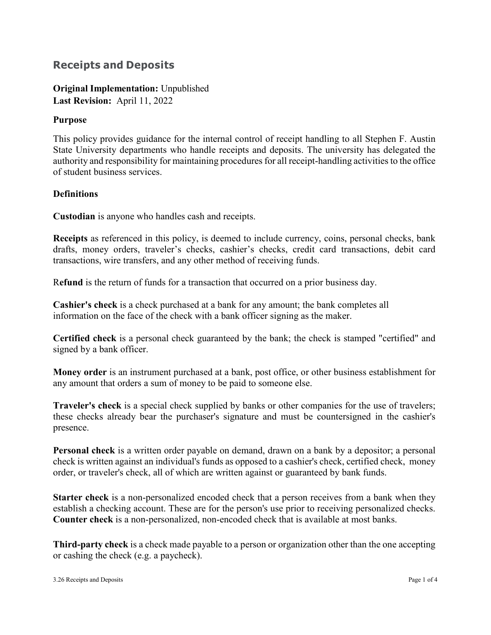# **Receipts and Deposits**

**Original Implementation:** Unpublished **Last Revision:** April 11, 2022

# **Purpose**

This policy provides guidance for the internal control of receipt handling to all Stephen F. Austin State University departments who handle receipts and deposits. The university has delegated the authority and responsibility for maintaining procedures for all receipt-handling activities to the office of student business services.

# **Definitions**

**Custodian** is anyone who handles cash and receipts.

**Receipts** as referenced in this policy, is deemed to include currency, coins, personal checks, bank drafts, money orders, traveler's checks, cashier's checks, credit card transactions, debit card transactions, wire transfers, and any other method of receiving funds.

R**efund** is the return of funds for a transaction that occurred on a prior business day.

**Cashier's check** is a check purchased at a bank for any amount; the bank completes all information on the face of the check with a bank officer signing as the maker.

**Certified check** is a personal check guaranteed by the bank; the check is stamped "certified" and signed by a bank officer.

**Money order** is an instrument purchased at a bank, post office, or other business establishment for any amount that orders a sum of money to be paid to someone else.

**Traveler's check** is a special check supplied by banks or other companies for the use of travelers; these checks already bear the purchaser's signature and must be countersigned in the cashier's presence.

**Personal check** is a written order payable on demand, drawn on a bank by a depositor; a personal check is written against an individual's funds as opposed to a cashier's check, certified check, money order, or traveler's check, all of which are written against or guaranteed by bank funds.

**Starter check** is a non-personalized encoded check that a person receives from a bank when they establish a checking account. These are for the person's use prior to receiving personalized checks. **Counter check** is a non-personalized, non-encoded check that is available at most banks.

**Third-party check** is a check made payable to a person or organization other than the one accepting or cashing the check (e.g. a paycheck).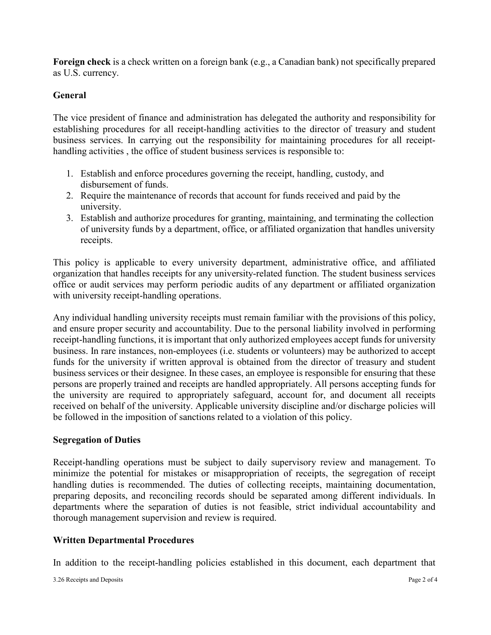**Foreign check** is a check written on a foreign bank (e.g., a Canadian bank) not specifically prepared as U.S. currency.

# **General**

The vice president of finance and administration has delegated the authority and responsibility for establishing procedures for all receipt-handling activities to the director of treasury and student business services. In carrying out the responsibility for maintaining procedures for all receipthandling activities , the office of student business services is responsible to:

- 1. Establish and enforce procedures governing the receipt, handling, custody, and disbursement of funds.
- 2. Require the maintenance of records that account for funds received and paid by the university.
- 3. Establish and authorize procedures for granting, maintaining, and terminating the collection of university funds by a department, office, or affiliated organization that handles university receipts.

This policy is applicable to every university department, administrative office, and affiliated organization that handles receipts for any university-related function. The student business services office or audit services may perform periodic audits of any department or affiliated organization with university receipt-handling operations.

Any individual handling university receipts must remain familiar with the provisions of this policy, and ensure proper security and accountability. Due to the personal liability involved in performing receipt-handling functions, it is important that only authorized employees accept funds for university business. In rare instances, non-employees (i.e. students or volunteers) may be authorized to accept funds for the university if written approval is obtained from the director of treasury and student business services or their designee. In these cases, an employee is responsible for ensuring that these persons are properly trained and receipts are handled appropriately. All persons accepting funds for the university are required to appropriately safeguard, account for, and document all receipts received on behalf of the university. Applicable university discipline and/or discharge policies will be followed in the imposition of sanctions related to a violation of this policy.

#### **Segregation of Duties**

Receipt-handling operations must be subject to daily supervisory review and management. To minimize the potential for mistakes or misappropriation of receipts, the segregation of receipt handling duties is recommended. The duties of collecting receipts, maintaining documentation, preparing deposits, and reconciling records should be separated among different individuals. In departments where the separation of duties is not feasible, strict individual accountability and thorough management supervision and review is required.

#### **Written Departmental Procedures**

In addition to the receipt-handling policies established in this document, each department that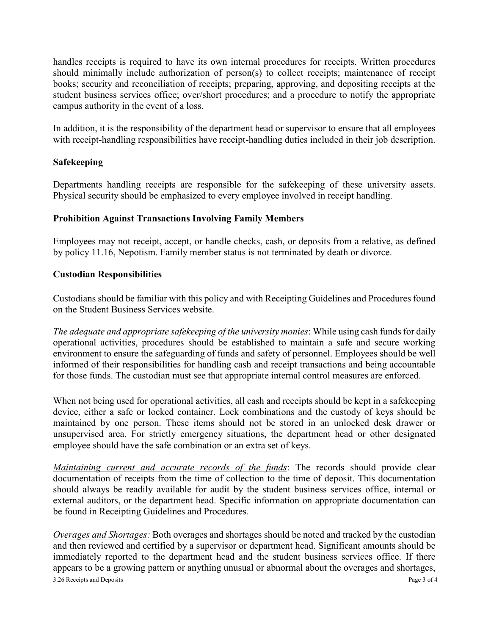handles receipts is required to have its own internal procedures for receipts. Written procedures should minimally include authorization of person(s) to collect receipts; maintenance of receipt books; security and reconciliation of receipts; preparing, approving, and depositing receipts at the student business services office; over/short procedures; and a procedure to notify the appropriate campus authority in the event of a loss.

In addition, it is the responsibility of the department head or supervisor to ensure that all employees with receipt-handling responsibilities have receipt-handling duties included in their job description.

# **Safekeeping**

Departments handling receipts are responsible for the safekeeping of these university assets. Physical security should be emphasized to every employee involved in receipt handling.

# **Prohibition Against Transactions Involving Family Members**

Employees may not receipt, accept, or handle checks, cash, or deposits from a relative, as defined by policy 11.16, Nepotism. Family member status is not terminated by death or divorce.

# **Custodian Responsibilities**

Custodians should be familiar with this policy and with Receipting Guidelines and Procedures found on the Student Business Services website.

*The adequate and appropriate safekeeping of the university monies*: While using cash funds for daily operational activities, procedures should be established to maintain a safe and secure working environment to ensure the safeguarding of funds and safety of personnel. Employees should be well informed of their responsibilities for handling cash and receipt transactions and being accountable for those funds. The custodian must see that appropriate internal control measures are enforced.

When not being used for operational activities, all cash and receipts should be kept in a safekeeping device, either a safe or locked container. Lock combinations and the custody of keys should be maintained by one person. These items should not be stored in an unlocked desk drawer or unsupervised area. For strictly emergency situations, the department head or other designated employee should have the safe combination or an extra set of keys.

*Maintaining current and accurate records of the funds*: The records should provide clear documentation of receipts from the time of collection to the time of deposit. This documentation should always be readily available for audit by the student business services office, internal or external auditors, or the department head. Specific information on appropriate documentation can be found in Receipting Guidelines and Procedures.

3.26 Receipts and Deposits Page 3 of 4 *Overages and Shortages:* Both overages and shortages should be noted and tracked by the custodian and then reviewed and certified by a supervisor or department head. Significant amounts should be immediately reported to the department head and the student business services office. If there appears to be a growing pattern or anything unusual or abnormal about the overages and shortages,